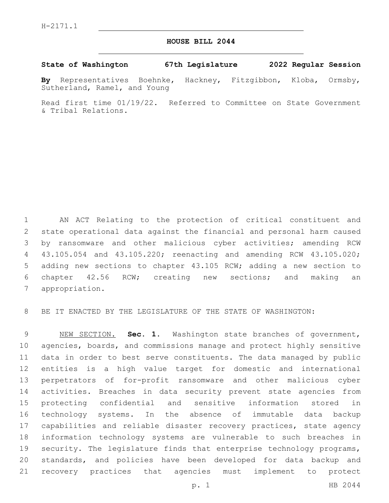## **HOUSE BILL 2044**

## **State of Washington 67th Legislature 2022 Regular Session**

**By** Representatives Boehnke, Hackney, Fitzgibbon, Kloba, Ormsby, Sutherland, Ramel, and Young

Read first time 01/19/22. Referred to Committee on State Government & Tribal Relations.

 AN ACT Relating to the protection of critical constituent and state operational data against the financial and personal harm caused by ransomware and other malicious cyber activities; amending RCW 43.105.054 and 43.105.220; reenacting and amending RCW 43.105.020; adding new sections to chapter 43.105 RCW; adding a new section to chapter 42.56 RCW; creating new sections; and making an 7 appropriation.

BE IT ENACTED BY THE LEGISLATURE OF THE STATE OF WASHINGTON:

 NEW SECTION. **Sec. 1.** Washington state branches of government, agencies, boards, and commissions manage and protect highly sensitive data in order to best serve constituents. The data managed by public entities is a high value target for domestic and international perpetrators of for-profit ransomware and other malicious cyber activities. Breaches in data security prevent state agencies from protecting confidential and sensitive information stored in technology systems. In the absence of immutable data backup capabilities and reliable disaster recovery practices, state agency information technology systems are vulnerable to such breaches in 19 security. The legislature finds that enterprise technology programs, standards, and policies have been developed for data backup and recovery practices that agencies must implement to protect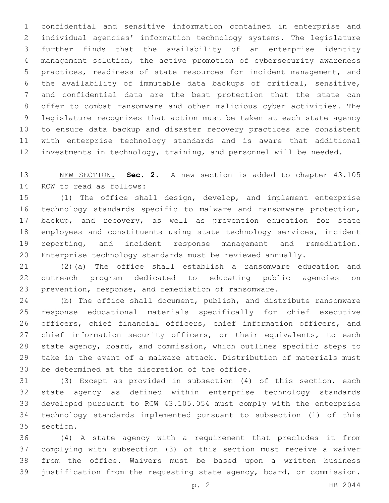confidential and sensitive information contained in enterprise and individual agencies' information technology systems. The legislature further finds that the availability of an enterprise identity management solution, the active promotion of cybersecurity awareness practices, readiness of state resources for incident management, and the availability of immutable data backups of critical, sensitive, and confidential data are the best protection that the state can offer to combat ransomware and other malicious cyber activities. The legislature recognizes that action must be taken at each state agency to ensure data backup and disaster recovery practices are consistent with enterprise technology standards and is aware that additional investments in technology, training, and personnel will be needed.

 NEW SECTION. **Sec. 2.** A new section is added to chapter 43.105 14 RCW to read as follows:

 (1) The office shall design, develop, and implement enterprise technology standards specific to malware and ransomware protection, backup, and recovery, as well as prevention education for state employees and constituents using state technology services, incident reporting, and incident response management and remediation. Enterprise technology standards must be reviewed annually.

 (2)(a) The office shall establish a ransomware education and outreach program dedicated to educating public agencies on prevention, response, and remediation of ransomware.

 (b) The office shall document, publish, and distribute ransomware response educational materials specifically for chief executive officers, chief financial officers, chief information officers, and 27 chief information security officers, or their equivalents, to each state agency, board, and commission, which outlines specific steps to take in the event of a malware attack. Distribution of materials must 30 be determined at the discretion of the office.

 (3) Except as provided in subsection (4) of this section, each state agency as defined within enterprise technology standards developed pursuant to RCW 43.105.054 must comply with the enterprise technology standards implemented pursuant to subsection (1) of this 35 section.

 (4) A state agency with a requirement that precludes it from complying with subsection (3) of this section must receive a waiver from the office. Waivers must be based upon a written business justification from the requesting state agency, board, or commission.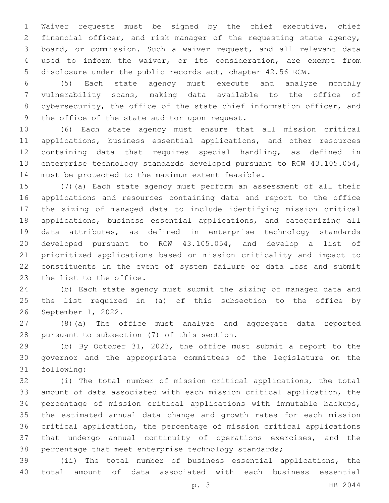Waiver requests must be signed by the chief executive, chief financial officer, and risk manager of the requesting state agency, board, or commission. Such a waiver request, and all relevant data used to inform the waiver, or its consideration, are exempt from disclosure under the public records act, chapter 42.56 RCW.

 (5) Each state agency must execute and analyze monthly vulnerability scans, making data available to the office of 8 cybersecurity, the office of the state chief information officer, and 9 the office of the state auditor upon request.

 (6) Each state agency must ensure that all mission critical applications, business essential applications, and other resources containing data that requires special handling, as defined in enterprise technology standards developed pursuant to RCW 43.105.054, 14 must be protected to the maximum extent feasible.

 (7)(a) Each state agency must perform an assessment of all their applications and resources containing data and report to the office the sizing of managed data to include identifying mission critical applications, business essential applications, and categorizing all data attributes, as defined in enterprise technology standards developed pursuant to RCW 43.105.054, and develop a list of prioritized applications based on mission criticality and impact to constituents in the event of system failure or data loss and submit 23 the list to the office.

 (b) Each state agency must submit the sizing of managed data and the list required in (a) of this subsection to the office by 26 September 1, 2022.

 (8)(a) The office must analyze and aggregate data reported 28 pursuant to subsection (7) of this section.

 (b) By October 31, 2023, the office must submit a report to the governor and the appropriate committees of the legislature on the 31 following:

 (i) The total number of mission critical applications, the total amount of data associated with each mission critical application, the percentage of mission critical applications with immutable backups, the estimated annual data change and growth rates for each mission critical application, the percentage of mission critical applications that undergo annual continuity of operations exercises, and the percentage that meet enterprise technology standards;

 (ii) The total number of business essential applications, the total amount of data associated with each business essential

p. 3 HB 2044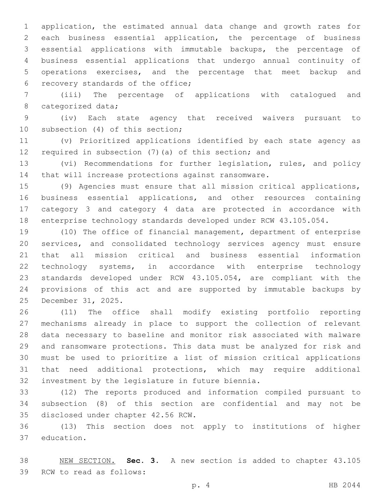application, the estimated annual data change and growth rates for each business essential application, the percentage of business essential applications with immutable backups, the percentage of business essential applications that undergo annual continuity of operations exercises, and the percentage that meet backup and 6 recovery standards of the office;

 (iii) The percentage of applications with catalogued and 8 categorized data;

 (iv) Each state agency that received waivers pursuant to 10 subsection (4) of this section;

 (v) Prioritized applications identified by each state agency as required in subsection (7)(a) of this section; and

 (vi) Recommendations for further legislation, rules, and policy that will increase protections against ransomware.

 (9) Agencies must ensure that all mission critical applications, business essential applications, and other resources containing category 3 and category 4 data are protected in accordance with enterprise technology standards developed under RCW 43.105.054.

 (10) The office of financial management, department of enterprise services, and consolidated technology services agency must ensure that all mission critical and business essential information technology systems, in accordance with enterprise technology standards developed under RCW 43.105.054, are compliant with the provisions of this act and are supported by immutable backups by 25 December 31, 2025.

 (11) The office shall modify existing portfolio reporting mechanisms already in place to support the collection of relevant data necessary to baseline and monitor risk associated with malware and ransomware protections. This data must be analyzed for risk and must be used to prioritize a list of mission critical applications that need additional protections, which may require additional 32 investment by the legislature in future biennia.

 (12) The reports produced and information compiled pursuant to subsection (8) of this section are confidential and may not be 35 disclosed under chapter 42.56 RCW.

 (13) This section does not apply to institutions of higher 37 education.

 NEW SECTION. **Sec. 3.** A new section is added to chapter 43.105 39 RCW to read as follows: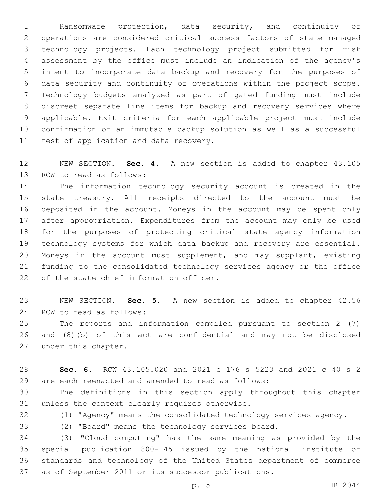Ransomware protection, data security, and continuity of operations are considered critical success factors of state managed technology projects. Each technology project submitted for risk assessment by the office must include an indication of the agency's intent to incorporate data backup and recovery for the purposes of data security and continuity of operations within the project scope. Technology budgets analyzed as part of gated funding must include discreet separate line items for backup and recovery services where applicable. Exit criteria for each applicable project must include confirmation of an immutable backup solution as well as a successful 11 test of application and data recovery.

 NEW SECTION. **Sec. 4.** A new section is added to chapter 43.105 13 RCW to read as follows:

 The information technology security account is created in the state treasury. All receipts directed to the account must be deposited in the account. Moneys in the account may be spent only after appropriation. Expenditures from the account may only be used for the purposes of protecting critical state agency information technology systems for which data backup and recovery are essential. Moneys in the account must supplement, and may supplant, existing funding to the consolidated technology services agency or the office 22 of the state chief information officer.

 NEW SECTION. **Sec. 5.** A new section is added to chapter 42.56 24 RCW to read as follows:

 The reports and information compiled pursuant to section 2 (7) and (8)(b) of this act are confidential and may not be disclosed 27 under this chapter.

 **Sec. 6.** RCW 43.105.020 and 2021 c 176 s 5223 and 2021 c 40 s 2 are each reenacted and amended to read as follows:

 The definitions in this section apply throughout this chapter 31 unless the context clearly requires otherwise.

(1) "Agency" means the consolidated technology services agency.

(2) "Board" means the technology services board.

 (3) "Cloud computing" has the same meaning as provided by the special publication 800-145 issued by the national institute of standards and technology of the United States department of commerce as of September 2011 or its successor publications.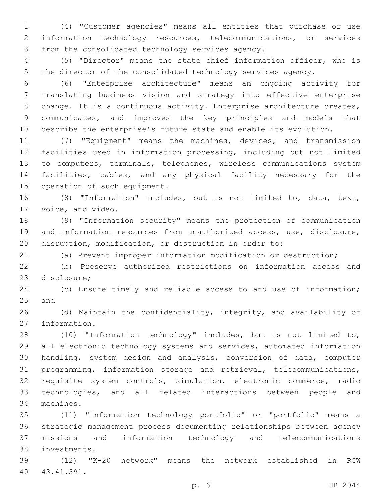(4) "Customer agencies" means all entities that purchase or use information technology resources, telecommunications, or services 3 from the consolidated technology services agency.

 (5) "Director" means the state chief information officer, who is the director of the consolidated technology services agency.

 (6) "Enterprise architecture" means an ongoing activity for translating business vision and strategy into effective enterprise 8 change. It is a continuous activity. Enterprise architecture creates, communicates, and improves the key principles and models that describe the enterprise's future state and enable its evolution.

 (7) "Equipment" means the machines, devices, and transmission facilities used in information processing, including but not limited to computers, terminals, telephones, wireless communications system facilities, cables, and any physical facility necessary for the 15 operation of such equipment.

 (8) "Information" includes, but is not limited to, data, text, 17 voice, and video.

 (9) "Information security" means the protection of communication and information resources from unauthorized access, use, disclosure, disruption, modification, or destruction in order to:

(a) Prevent improper information modification or destruction;

 (b) Preserve authorized restrictions on information access and 23 disclosure;

 (c) Ensure timely and reliable access to and use of information; 25 and

 (d) Maintain the confidentiality, integrity, and availability of 27 information.

 (10) "Information technology" includes, but is not limited to, all electronic technology systems and services, automated information handling, system design and analysis, conversion of data, computer programming, information storage and retrieval, telecommunications, requisite system controls, simulation, electronic commerce, radio technologies, and all related interactions between people and 34 machines.

 (11) "Information technology portfolio" or "portfolio" means a strategic management process documenting relationships between agency missions and information technology and telecommunications investments.38

 (12) "K-20 network" means the network established in RCW 43.41.391.40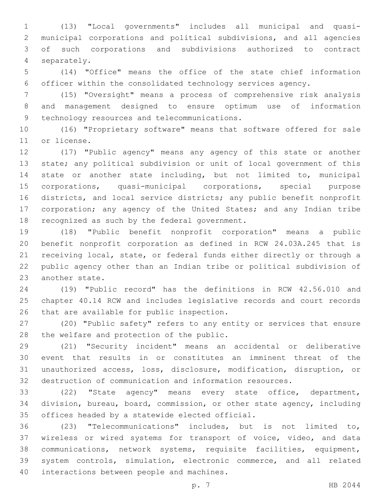(13) "Local governments" includes all municipal and quasi- municipal corporations and political subdivisions, and all agencies of such corporations and subdivisions authorized to contract separately.4

 (14) "Office" means the office of the state chief information officer within the consolidated technology services agency.

 (15) "Oversight" means a process of comprehensive risk analysis and management designed to ensure optimum use of information 9 technology resources and telecommunications.

 (16) "Proprietary software" means that software offered for sale 11 or license.

 (17) "Public agency" means any agency of this state or another state; any political subdivision or unit of local government of this state or another state including, but not limited to, municipal corporations, quasi-municipal corporations, special purpose districts, and local service districts; any public benefit nonprofit 17 corporation; any agency of the United States; and any Indian tribe 18 recognized as such by the federal government.

 (18) "Public benefit nonprofit corporation" means a public benefit nonprofit corporation as defined in RCW 24.03A.245 that is receiving local, state, or federal funds either directly or through a public agency other than an Indian tribe or political subdivision of 23 another state.

 (19) "Public record" has the definitions in RCW 42.56.010 and chapter 40.14 RCW and includes legislative records and court records 26 that are available for public inspection.

 (20) "Public safety" refers to any entity or services that ensure 28 the welfare and protection of the public.

 (21) "Security incident" means an accidental or deliberative event that results in or constitutes an imminent threat of the unauthorized access, loss, disclosure, modification, disruption, or destruction of communication and information resources.

 (22) "State agency" means every state office, department, division, bureau, board, commission, or other state agency, including 35 offices headed by a statewide elected official.

 (23) "Telecommunications" includes, but is not limited to, wireless or wired systems for transport of voice, video, and data communications, network systems, requisite facilities, equipment, system controls, simulation, electronic commerce, and all related 40 interactions between people and machines.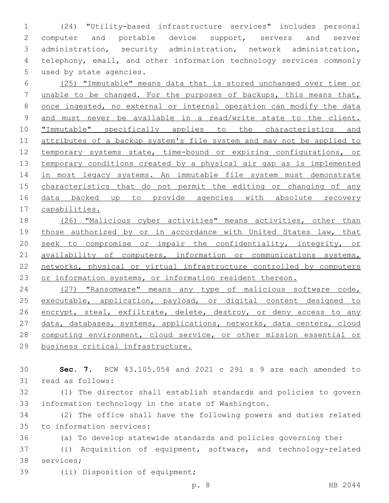1 (24) "Utility-based infrastructure services" includes personal 2 computer and portable device support, servers and server 3 administration, security administration, network administration, 4 telephony, email, and other information technology services commonly 5 used by state agencies.

 (25) "Immutable" means data that is stored unchanged over time or unable to be changed. For the purposes of backups, this means that, once ingested, no external or internal operation can modify the data and must never be available in a read/write state to the client. 10 "Immutable" specifically applies to the characteristics and attributes of a backup system's file system and may not be applied to temporary systems state, time-bound or expiring configurations, or temporary conditions created by a physical air gap as is implemented 14 in most legacy systems. An immutable file system must demonstrate characteristics that do not permit the editing or changing of any 16 data backed up to provide agencies with absolute recovery capabilities.

18 (26) "Malicious cyber activities" means activities, other than 19 those authorized by or in accordance with United States law, that 20 seek to compromise or impair the confidentiality, integrity, or 21 availability of computers, information or communications systems, 22 networks, physical or virtual infrastructure controlled by computers 23 or information systems, or information resident thereon.

24 (27) "Ransomware" means any type of malicious software code, 25 executable, application, payload, or digital content designed to 26 encrypt, steal, exfiltrate, delete, destroy, or deny access to any 27 data, databases, systems, applications, networks, data centers, cloud 28 computing environment, cloud service, or other mission essential or 29 business critical infrastructure.

30 **Sec. 7.** RCW 43.105.054 and 2021 c 291 s 9 are each amended to 31 read as follows:

32 (1) The director shall establish standards and policies to govern 33 information technology in the state of Washington.

34 (2) The office shall have the following powers and duties related 35 to information services:

36 (a) To develop statewide standards and policies governing the:

37 (i) Acquisition of equipment, software, and technology-related 38 services;

39 (ii) Disposition of equipment;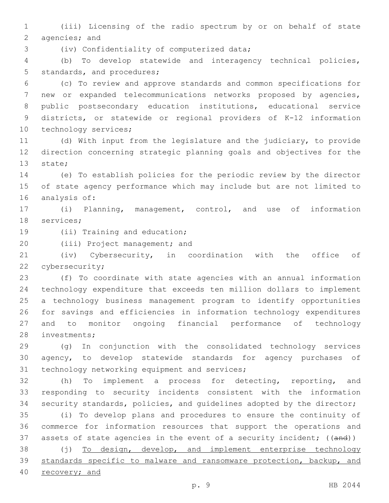(iii) Licensing of the radio spectrum by or on behalf of state 2 agencies; and

3 (iv) Confidentiality of computerized data;

 (b) To develop statewide and interagency technical policies, 5 standards, and procedures;

 (c) To review and approve standards and common specifications for new or expanded telecommunications networks proposed by agencies, public postsecondary education institutions, educational service districts, or statewide or regional providers of K-12 information 10 technology services;

 (d) With input from the legislature and the judiciary, to provide direction concerning strategic planning goals and objectives for the 13 state;

 (e) To establish policies for the periodic review by the director of state agency performance which may include but are not limited to 16 analysis of:

 (i) Planning, management, control, and use of information 18 services;

19 (ii) Training and education;

20 (iii) Project management; and

 (iv) Cybersecurity, in coordination with the office of 22 cybersecurity;

 (f) To coordinate with state agencies with an annual information technology expenditure that exceeds ten million dollars to implement a technology business management program to identify opportunities for savings and efficiencies in information technology expenditures and to monitor ongoing financial performance of technology 28 investments;

 (g) In conjunction with the consolidated technology services agency, to develop statewide standards for agency purchases of 31 technology networking equipment and services;

 (h) To implement a process for detecting, reporting, and responding to security incidents consistent with the information security standards, policies, and guidelines adopted by the director;

 (i) To develop plans and procedures to ensure the continuity of commerce for information resources that support the operations and 37 assets of state agencies in the event of a security incident; ((and))

 (j) To design, develop, and implement enterprise technology standards specific to malware and ransomware protection, backup, and recovery; and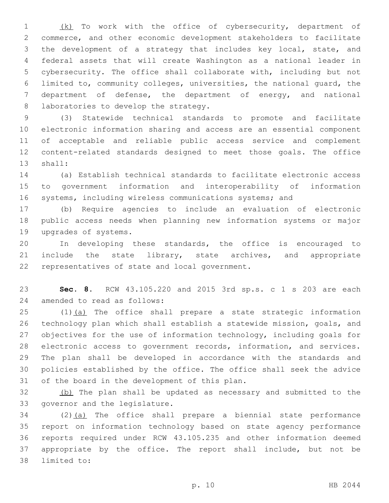(k) To work with the office of cybersecurity, department of commerce, and other economic development stakeholders to facilitate the development of a strategy that includes key local, state, and federal assets that will create Washington as a national leader in cybersecurity. The office shall collaborate with, including but not limited to, community colleges, universities, the national guard, the department of defense, the department of energy, and national 8 laboratories to develop the strategy.

 (3) Statewide technical standards to promote and facilitate electronic information sharing and access are an essential component of acceptable and reliable public access service and complement content-related standards designed to meet those goals. The office 13 shall:

 (a) Establish technical standards to facilitate electronic access to government information and interoperability of information systems, including wireless communications systems; and

 (b) Require agencies to include an evaluation of electronic public access needs when planning new information systems or major 19 upgrades of systems.

 In developing these standards, the office is encouraged to 21 include the state library, state archives, and appropriate 22 representatives of state and local government.

 **Sec. 8.** RCW 43.105.220 and 2015 3rd sp.s. c 1 s 203 are each 24 amended to read as follows:

25 (1)(a) The office shall prepare a state strategic information technology plan which shall establish a statewide mission, goals, and objectives for the use of information technology, including goals for electronic access to government records, information, and services. The plan shall be developed in accordance with the standards and policies established by the office. The office shall seek the advice 31 of the board in the development of this plan.

 (b) The plan shall be updated as necessary and submitted to the 33 governor and the legislature.

 (2)(a) The office shall prepare a biennial state performance report on information technology based on state agency performance reports required under RCW 43.105.235 and other information deemed appropriate by the office. The report shall include, but not be 38 limited to: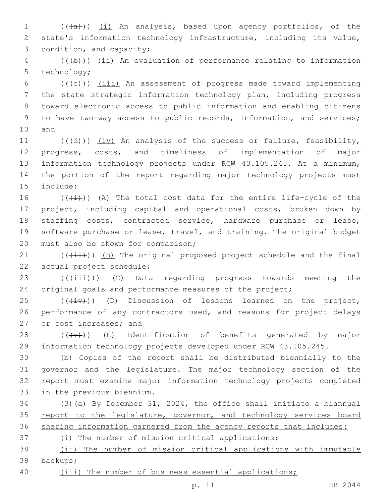1 (((a))) (i) An analysis, based upon agency portfolios, of the 2 state's information technology infrastructure, including its value, 3 condition, and capacity;

4 (((b))) (ii) An evaluation of performance relating to information 5 technology;

 (( $\left(\frac{1}{1}\right)$ ) (iii) An assessment of progress made toward implementing the state strategic information technology plan, including progress toward electronic access to public information and enabling citizens to have two-way access to public records, information, and services; 10 and

 $((\{d\})\)$   $(iv)$  An analysis of the success or failure, feasibility, progress, costs, and timeliness of implementation of major information technology projects under RCW 43.105.245. At a minimum, the portion of the report regarding major technology projects must 15 include:

 $((\overline{(\dagger)}))(\overline{A})$  The total cost data for the entire life-cycle of the project, including capital and operational costs, broken down by staffing costs, contracted service, hardware purchase or lease, software purchase or lease, travel, and training. The original budget 20 must also be shown for comparison;

21  $((\overrightarrow{\pm}i))$  (B) The original proposed project schedule and the final 22 actual project schedule;

23 (((iii))) (C) Data regarding progress towards meeting the 24 original goals and performance measures of the project;

 $(1 + i \sqrt{1 + i})$  (D) Discussion of lessons learned on the project, 26 performance of any contractors used, and reasons for project delays 27 or cost increases; and

28  $((+\nabla)+)($  (E) Identification of benefits generated by major 29 information technology projects developed under RCW 43.105.245.

 (b) Copies of the report shall be distributed biennially to the governor and the legislature. The major technology section of the report must examine major information technology projects completed 33 in the previous biennium.

34 (3)(a) By December 31, 2024, the office shall initiate a biannual 35 report to the legislature, governor, and technology services board 36 sharing information garnered from the agency reports that includes:

37 (i) The number of mission critical applications;

38 (ii) The number of mission critical applications with immutable 39 backups;

40 (iii) The number of business essential applications;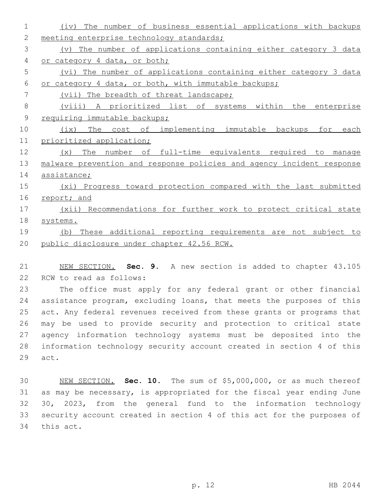| 1              | The number of business essential applications with backups<br>(iv)    |
|----------------|-----------------------------------------------------------------------|
| 2              | meeting enterprise technology standards;                              |
| 3              | The number of applications containing either category 3 data<br>(v)   |
| 4              | or category 4 data, or both;                                          |
| 5              | (vi) The number of applications containing either category 3 data     |
| 6              | or category 4 data, or both, with immutable backups;                  |
| 7              | (vii) The breadth of threat landscape;                                |
| 8              | (viii) A prioritized list of systems within the enterprise            |
| $\overline{9}$ | requiring immutable backups;                                          |
| 10             | implementing immutable backups for<br>The<br>cost of<br>(ix)<br>each  |
| 11             | prioritized application;                                              |
| 12             | number of full-time equivalents required to<br>The<br>(x)<br>manage   |
| 13             | malware prevention and response policies and agency incident response |
| 14             | assistance;                                                           |
| 15             | (xi) Progress toward protection compared with the last submitted      |
| 16             | report; and                                                           |
| 17             | (xii) Recommendations for further work to protect critical state      |
| 18             | systems.                                                              |
| 19             | These additional reporting requirements are not subject to<br>(b)     |
| 20             | public disclosure under chapter 42.56 RCW.                            |
|                |                                                                       |

21 NEW SECTION. **Sec. 9.** A new section is added to chapter 43.105 22 RCW to read as follows:

 The office must apply for any federal grant or other financial assistance program, excluding loans, that meets the purposes of this act. Any federal revenues received from these grants or programs that may be used to provide security and protection to critical state agency information technology systems must be deposited into the information technology security account created in section 4 of this 29 act.

 NEW SECTION. **Sec. 10.** The sum of \$5,000,000, or as much thereof as may be necessary, is appropriated for the fiscal year ending June 30, 2023, from the general fund to the information technology security account created in section 4 of this act for the purposes of this act.